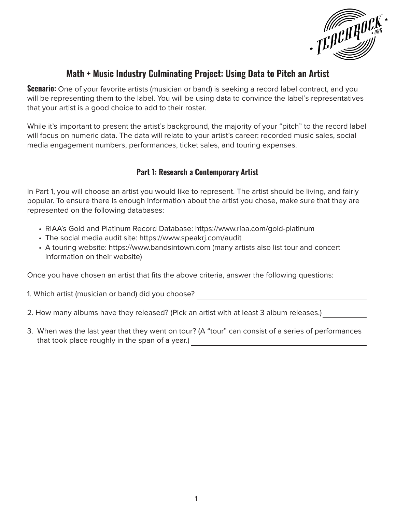

# **Math + Music Industry Culminating Project: Using Data to Pitch an Artist**

**Scenario:** One of your favorite artists (musician or band) is seeking a record label contract, and you will be representing them to the label. You will be using data to convince the label's representatives that your artist is a good choice to add to their roster.

While it's important to present the artist's background, the majority of your "pitch" to the record label will focus on numeric data. The data will relate to your artist's career: recorded music sales, social media engagement numbers, performances, ticket sales, and touring expenses.

## **Part 1: Research a Contemporary Artist**

In Part 1, you will choose an artist you would like to represent. The artist should be living, and fairly popular. To ensure there is enough information about the artist you chose, make sure that they are represented on the following databases:

- RIAA's Gold and Platinum Record Database: https://www.riaa.com/gold-platinum
- The social media audit site: https://www.speakrj.com/audit
- A touring website: https://www.bandsintown.com (many artists also list tour and concert information on their website)

Once you have chosen an artist that fits the above criteria, answer the following questions:

1. Which artist (musician or band) did you choose?

2. How many albums have they released? (Pick an artist with at least 3 album releases.)

3. When was the last year that they went on tour? (A "tour" can consist of a series of performances that took place roughly in the span of a year.)

<u> 1980 - Johann Barn, mars ann an t-Amhain Aonaich an t-Aonaich an t-Aonaich an t-Aonaich an t-Aonaich an t-Aon</u>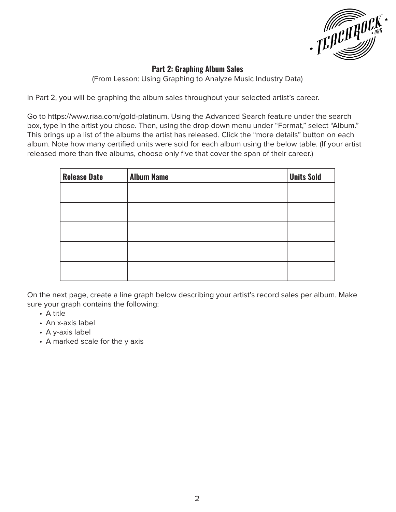

## **Part 2: Graphing Album Sales**

(From Lesson: Using Graphing to Analyze Music Industry Data)

In Part 2, you will be graphing the album sales throughout your selected artist's career.

Go to https://www.riaa.com/gold-platinum. Using the Advanced Search feature under the search box, type in the artist you chose. Then, using the drop down menu under "Format," select "Album." This brings up a list of the albums the artist has released. Click the "more details" button on each album. Note how many certified units were sold for each album using the below table. (If your artist released more than five albums, choose only five that cover the span of their career.)

| <b>Release Date</b> | <b>Album Name</b> | <b>Units Sold</b> |
|---------------------|-------------------|-------------------|
|                     |                   |                   |
|                     |                   |                   |
|                     |                   |                   |
|                     |                   |                   |
|                     |                   |                   |

On the next page, create a line graph below describing your artist's record sales per album. Make sure your graph contains the following:

- A title
- An x-axis label
- A y-axis label
- A marked scale for the y axis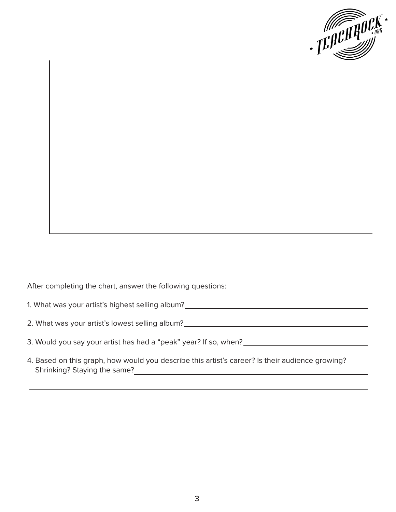

After completing the chart, answer the following questions:

1. What was your artist's highest selling album?

2. What was your artist's lowest selling album?

- 3. Would you say your artist has had a "peak" year? If so, when?
- 4. Based on this graph, how would you describe this artist's career? Is their audience growing? Shrinking? Staying the same?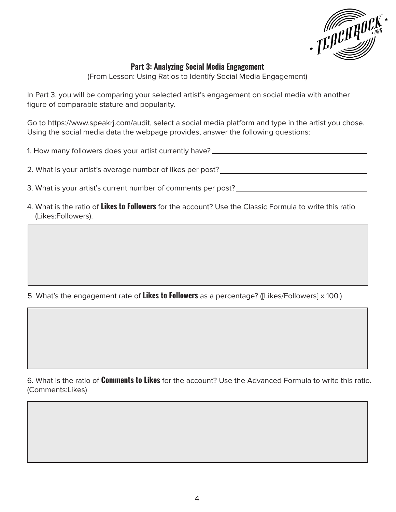

## **Part 3: Analyzing Social Media Engagement**

(From Lesson: Using Ratios to Identify Social Media Engagement)

In Part 3, you will be comparing your selected artist's engagement on social media with another figure of comparable stature and popularity.

Go to https://www.speakrj.com/audit, select a social media platform and type in the artist you chose. Using the social media data the webpage provides, answer the following questions:

1. How many followers does your artist currently have? \_\_\_\_\_\_\_\_\_\_\_\_\_\_\_\_\_\_\_\_\_\_\_\_\_\_

2. What is your artist's average number of likes per post?

3. What is your artist's current number of comments per post?

4. What is the ratio of **Likes to Followers** for the account? Use the Classic Formula to write this ratio (Likes:Followers).

5. What's the engagement rate of **Likes to Followers** as a percentage? ([Likes/Followers] x 100.)

6. What is the ratio of **Comments to Likes** for the account? Use the Advanced Formula to write this ratio. (Comments:Likes)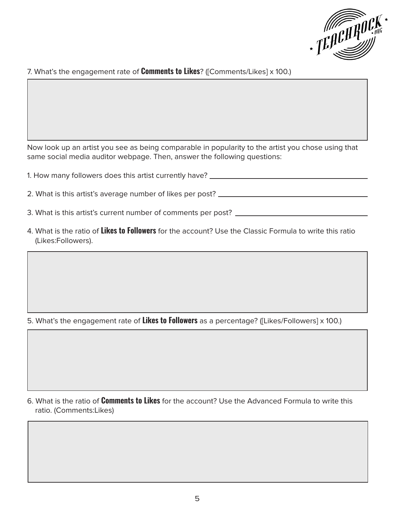

#### 7. What's the engagement rate of **Comments to Likes**? ([Comments/Likes] x 100.)

Now look up an artist you see as being comparable in popularity to the artist you chose using that same social media auditor webpage. Then, answer the following questions:

| 1. How many followers does this artist currently have? _________________________ |
|----------------------------------------------------------------------------------|
| 2. What is this artist's average number of likes per post? _____________________ |
| 3. What is this artist's current number of comments per post?                    |

- 4. What is the ratio of **Likes to Followers** for the account? Use the Classic Formula to write this ratio
- (Likes:Followers).

5. What's the engagement rate of **Likes to Followers** as a percentage? ([Likes/Followers] x 100.)

6. What is the ratio of **Comments to Likes** for the account? Use the Advanced Formula to write this ratio. (Comments:Likes)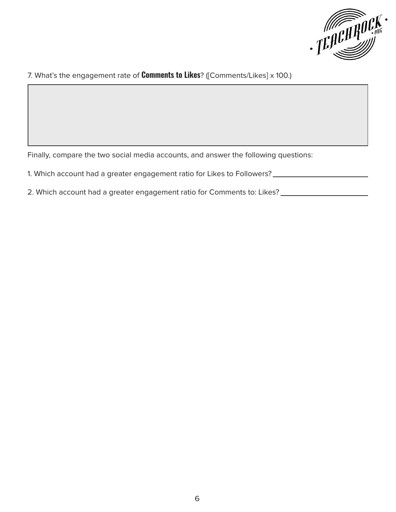

#### 7. What's the engagement rate of **Comments to Likes**? ([Comments/Likes] x 100.)

Finally, compare the two social media accounts, and answer the following questions:

- 1. Which account had a greater engagement ratio for Likes to Followers?
- 2. Which account had a greater engagement ratio for Comments to: Likes?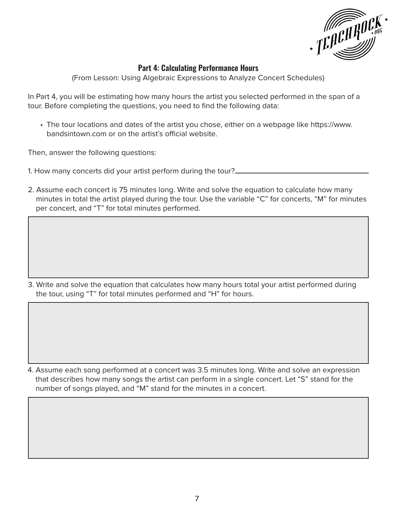

## **Part 4: Calculating Performance Hours**

(From Lesson: Using Algebraic Expressions to Analyze Concert Schedules)

In Part 4, you will be estimating how many hours the artist you selected performed in the span of a tour. Before completing the questions, you need to find the following data:

• The tour locations and dates of the artist you chose, either on a webpage like https://www. bandsintown.com or on the artist's official website.

Then, answer the following questions:

- 1. How many concerts did your artist perform during the tour?
- 2. Assume each concert is 75 minutes long. Write and solve the equation to calculate how many minutes in total the artist played during the tour. Use the variable "C" for concerts, "M" for minutes per concert, and "T" for total minutes performed.

3. Write and solve the equation that calculates how many hours total your artist performed during the tour, using "T" for total minutes performed and "H" for hours.

4. Assume each song performed at a concert was 3.5 minutes long. Write and solve an expression that describes how many songs the artist can perform in a single concert. Let "S" stand for the number of songs played, and "M" stand for the minutes in a concert.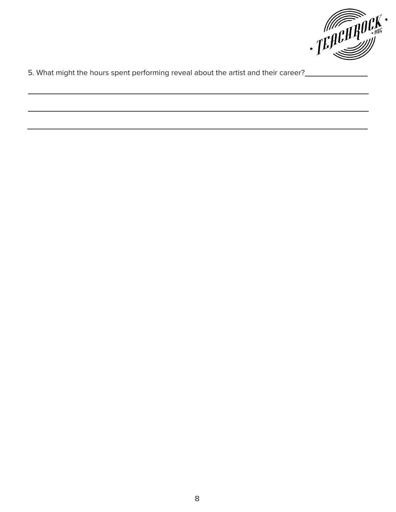

5. What might the hours spent performing reveal about the artist and their career?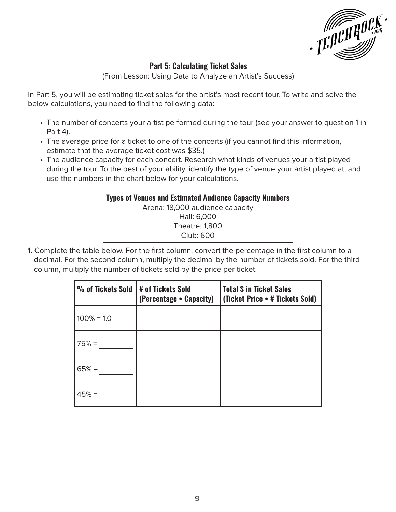

## **Part 5: Calculating Ticket Sales**

(From Lesson: Using Data to Analyze an Artist's Success)

In Part 5, you will be estimating ticket sales for the artist's most recent tour. To write and solve the below calculations, you need to find the following data:

- The number of concerts your artist performed during the tour (see your answer to question 1 in Part 4).
- The average price for a ticket to one of the concerts (if you cannot find this information, estimate that the average ticket cost was \$35.)
- The audience capacity for each concert. Research what kinds of venues your artist played during the tour. To the best of your ability, identify the type of venue your artist played at, and use the numbers in the chart below for your calculations.



1. Complete the table below. For the first column, convert the percentage in the first column to a decimal. For the second column, multiply the decimal by the number of tickets sold. For the third column, multiply the number of tickets sold by the price per ticket.

| % of Tickets Sold | H of Tickets Sold<br>(Percentage • Capacity) | <b>Total \$ in Ticket Sales</b><br>(Ticket Price • # Tickets Sold) |
|-------------------|----------------------------------------------|--------------------------------------------------------------------|
| $100\% = 1.0$     |                                              |                                                                    |
| $75% =$           |                                              |                                                                    |
| $65% =$           |                                              |                                                                    |
| $45% =$           |                                              |                                                                    |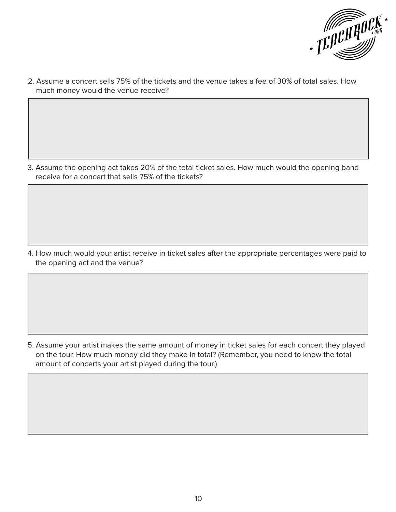

2. Assume a concert sells 75% of the tickets and the venue takes a fee of 30% of total sales. How much money would the venue receive?

3. Assume the opening act takes 20% of the total ticket sales. How much would the opening band receive for a concert that sells 75% of the tickets?

4. How much would your artist receive in ticket sales after the appropriate percentages were paid to the opening act and the venue?

5. Assume your artist makes the same amount of money in ticket sales for each concert they played on the tour. How much money did they make in total? (Remember, you need to know the total amount of concerts your artist played during the tour.)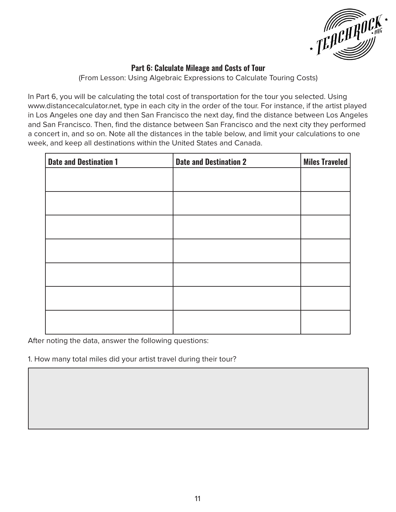

## **Part 6: Calculate Mileage and Costs of Tour**

(From Lesson: Using Algebraic Expressions to Calculate Touring Costs)

In Part 6, you will be calculating the total cost of transportation for the tour you selected. Using www.distancecalculator.net, type in each city in the order of the tour. For instance, if the artist played in Los Angeles one day and then San Francisco the next day, find the distance between Los Angeles and San Francisco. Then, find the distance between San Francisco and the next city they performed a concert in, and so on. Note all the distances in the table below, and limit your calculations to one week, and keep all destinations within the United States and Canada.

| <b>Date and Destination 1</b> | <b>Date and Destination 2</b> | <b>Miles Traveled</b> |
|-------------------------------|-------------------------------|-----------------------|
|                               |                               |                       |
|                               |                               |                       |
|                               |                               |                       |
|                               |                               |                       |
|                               |                               |                       |
|                               |                               |                       |
|                               |                               |                       |

After noting the data, answer the following questions:

1. How many total miles did your artist travel during their tour?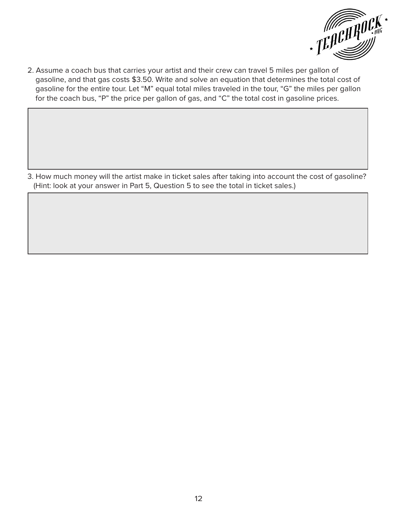

 gasoline, and that gas costs \$3.50. Write and solve an equation that determines the total cost of gasoline for the entire tour. Let "M" equal total miles traveled in the tour, "G" the miles per gallon for the coach bus, "P" the price per gallon of gas, and "C" the total cost in gasoline prices.

3. How much money will the artist make in ticket sales after taking into account the cost of gasoline? (Hint: look at your answer in Part 5, Question 5 to see the total in ticket sales.)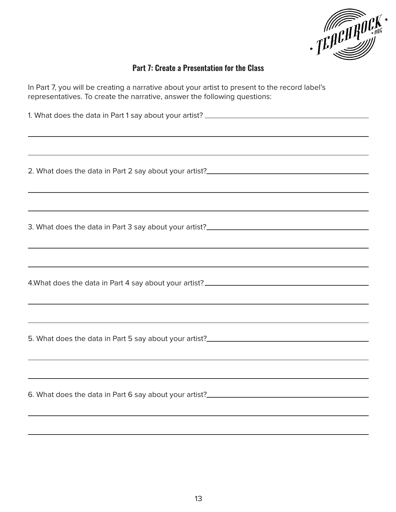

## **Part 7: Create a Presentation for the Class**

In Part 7, you will be creating a narrative about your artist to present to the record label's representatives. To create the narrative, answer the following questions:

1. What does the data in Part 1 say about your artist? 2. What does the data in Part 2 say about your artist? 3. What does the data in Part 3 say about your artist? 4.What does the data in Part 4 say about your artist? 5. What does the data in Part 5 say about your artist? 6. What does the data in Part 6 say about your artist?